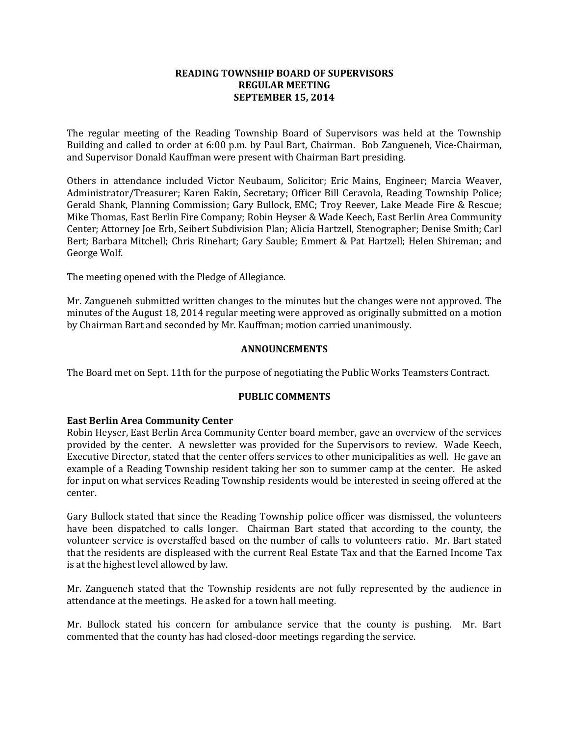### **READING TOWNSHIP BOARD OF SUPERVISORS REGULAR MEETING SEPTEMBER 15, 2014**

The regular meeting of the Reading Township Board of Supervisors was held at the Township Building and called to order at 6:00 p.m. by Paul Bart, Chairman. Bob Zangueneh, Vice-Chairman, and Supervisor Donald Kauffman were present with Chairman Bart presiding.

Others in attendance included Victor Neubaum, Solicitor; Eric Mains, Engineer; Marcia Weaver, Administrator/Treasurer; Karen Eakin, Secretary; Officer Bill Ceravola, Reading Township Police; Gerald Shank, Planning Commission; Gary Bullock, EMC; Troy Reever, Lake Meade Fire & Rescue; Mike Thomas, East Berlin Fire Company; Robin Heyser & Wade Keech, East Berlin Area Community Center; Attorney Joe Erb, Seibert Subdivision Plan; Alicia Hartzell, Stenographer; Denise Smith; Carl Bert; Barbara Mitchell; Chris Rinehart; Gary Sauble; Emmert & Pat Hartzell; Helen Shireman; and George Wolf.

The meeting opened with the Pledge of Allegiance.

Mr. Zangueneh submitted written changes to the minutes but the changes were not approved. The minutes of the August 18, 2014 regular meeting were approved as originally submitted on a motion by Chairman Bart and seconded by Mr. Kauffman; motion carried unanimously.

### **ANNOUNCEMENTS**

The Board met on Sept. 11th for the purpose of negotiating the Public Works Teamsters Contract.

### **PUBLIC COMMENTS**

### **East Berlin Area Community Center**

Robin Heyser, East Berlin Area Community Center board member, gave an overview of the services provided by the center. A newsletter was provided for the Supervisors to review. Wade Keech, Executive Director, stated that the center offers services to other municipalities as well. He gave an example of a Reading Township resident taking her son to summer camp at the center. He asked for input on what services Reading Township residents would be interested in seeing offered at the center.

Gary Bullock stated that since the Reading Township police officer was dismissed, the volunteers have been dispatched to calls longer. Chairman Bart stated that according to the county, the volunteer service is overstaffed based on the number of calls to volunteers ratio. Mr. Bart stated that the residents are displeased with the current Real Estate Tax and that the Earned Income Tax is at the highest level allowed by law.

Mr. Zangueneh stated that the Township residents are not fully represented by the audience in attendance at the meetings. He asked for a town hall meeting.

Mr. Bullock stated his concern for ambulance service that the county is pushing. Mr. Bart commented that the county has had closed-door meetings regarding the service.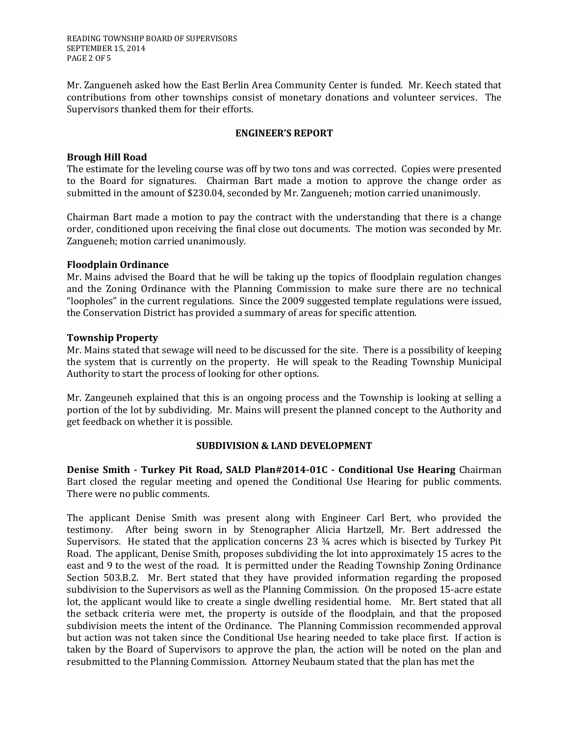READING TOWNSHIP BOARD OF SUPERVISORS SEPTEMBER 15, 2014 PAGE 2 OF 5

Mr. Zangueneh asked how the East Berlin Area Community Center is funded. Mr. Keech stated that contributions from other townships consist of monetary donations and volunteer services. The Supervisors thanked them for their efforts.

### **ENGINEER'S REPORT**

### **Brough Hill Road**

The estimate for the leveling course was off by two tons and was corrected. Copies were presented to the Board for signatures. Chairman Bart made a motion to approve the change order as submitted in the amount of \$230.04, seconded by Mr. Zangueneh; motion carried unanimously.

Chairman Bart made a motion to pay the contract with the understanding that there is a change order, conditioned upon receiving the final close out documents. The motion was seconded by Mr. Zangueneh; motion carried unanimously.

#### **Floodplain Ordinance**

Mr. Mains advised the Board that he will be taking up the topics of floodplain regulation changes and the Zoning Ordinance with the Planning Commission to make sure there are no technical "loopholes" in the current regulations. Since the 2009 suggested template regulations were issued, the Conservation District has provided a summary of areas for specific attention.

#### **Township Property**

Mr. Mains stated that sewage will need to be discussed for the site. There is a possibility of keeping the system that is currently on the property. He will speak to the Reading Township Municipal Authority to start the process of looking for other options.

Mr. Zangeuneh explained that this is an ongoing process and the Township is looking at selling a portion of the lot by subdividing. Mr. Mains will present the planned concept to the Authority and get feedback on whether it is possible.

### **SUBDIVISION & LAND DEVELOPMENT**

**Denise Smith - Turkey Pit Road, SALD Plan#2014-01C - Conditional Use Hearing** Chairman Bart closed the regular meeting and opened the Conditional Use Hearing for public comments. There were no public comments.

The applicant Denise Smith was present along with Engineer Carl Bert, who provided the testimony. After being sworn in by Stenographer Alicia Hartzell, Mr. Bert addressed the Supervisors. He stated that the application concerns 23 ¾ acres which is bisected by Turkey Pit Road. The applicant, Denise Smith, proposes subdividing the lot into approximately 15 acres to the east and 9 to the west of the road. It is permitted under the Reading Township Zoning Ordinance Section 503.B.2. Mr. Bert stated that they have provided information regarding the proposed subdivision to the Supervisors as well as the Planning Commission. On the proposed 15-acre estate lot, the applicant would like to create a single dwelling residential home. Mr. Bert stated that all the setback criteria were met, the property is outside of the floodplain, and that the proposed subdivision meets the intent of the Ordinance. The Planning Commission recommended approval but action was not taken since the Conditional Use hearing needed to take place first. If action is taken by the Board of Supervisors to approve the plan, the action will be noted on the plan and resubmitted to the Planning Commission. Attorney Neubaum stated that the plan has met the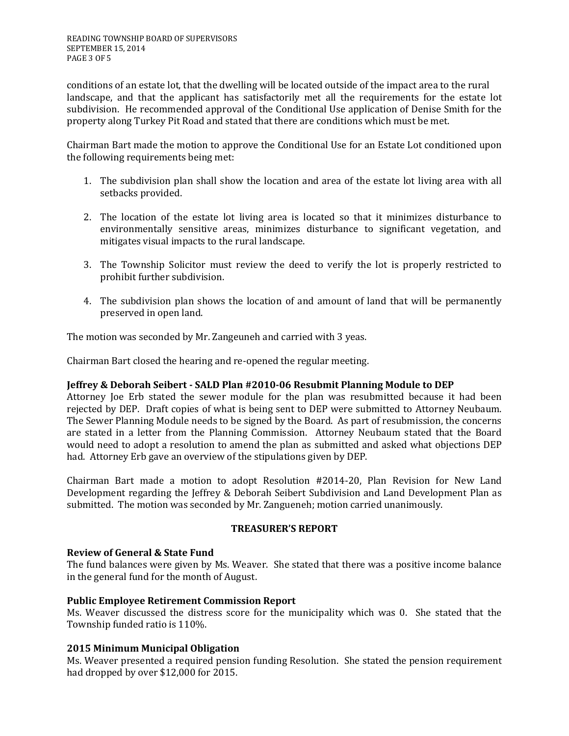conditions of an estate lot, that the dwelling will be located outside of the impact area to the rural landscape, and that the applicant has satisfactorily met all the requirements for the estate lot subdivision. He recommended approval of the Conditional Use application of Denise Smith for the property along Turkey Pit Road and stated that there are conditions which must be met.

Chairman Bart made the motion to approve the Conditional Use for an Estate Lot conditioned upon the following requirements being met:

- 1. The subdivision plan shall show the location and area of the estate lot living area with all setbacks provided.
- 2. The location of the estate lot living area is located so that it minimizes disturbance to environmentally sensitive areas, minimizes disturbance to significant vegetation, and mitigates visual impacts to the rural landscape.
- 3. The Township Solicitor must review the deed to verify the lot is properly restricted to prohibit further subdivision.
- 4. The subdivision plan shows the location of and amount of land that will be permanently preserved in open land.

The motion was seconded by Mr. Zangeuneh and carried with 3 yeas.

Chairman Bart closed the hearing and re-opened the regular meeting.

### **Jeffrey & Deborah Seibert - SALD Plan #2010-06 Resubmit Planning Module to DEP**

Attorney Joe Erb stated the sewer module for the plan was resubmitted because it had been rejected by DEP. Draft copies of what is being sent to DEP were submitted to Attorney Neubaum. The Sewer Planning Module needs to be signed by the Board. As part of resubmission, the concerns are stated in a letter from the Planning Commission. Attorney Neubaum stated that the Board would need to adopt a resolution to amend the plan as submitted and asked what objections DEP had. Attorney Erb gave an overview of the stipulations given by DEP.

Chairman Bart made a motion to adopt Resolution #2014-20, Plan Revision for New Land Development regarding the Jeffrey & Deborah Seibert Subdivision and Land Development Plan as submitted. The motion was seconded by Mr. Zangueneh; motion carried unanimously.

### **TREASURER'S REPORT**

### **Review of General & State Fund**

The fund balances were given by Ms. Weaver. She stated that there was a positive income balance in the general fund for the month of August.

# **Public Employee Retirement Commission Report**

Ms. Weaver discussed the distress score for the municipality which was 0. She stated that the Township funded ratio is 110%.

# **2015 Minimum Municipal Obligation**

Ms. Weaver presented a required pension funding Resolution. She stated the pension requirement had dropped by over \$12,000 for 2015.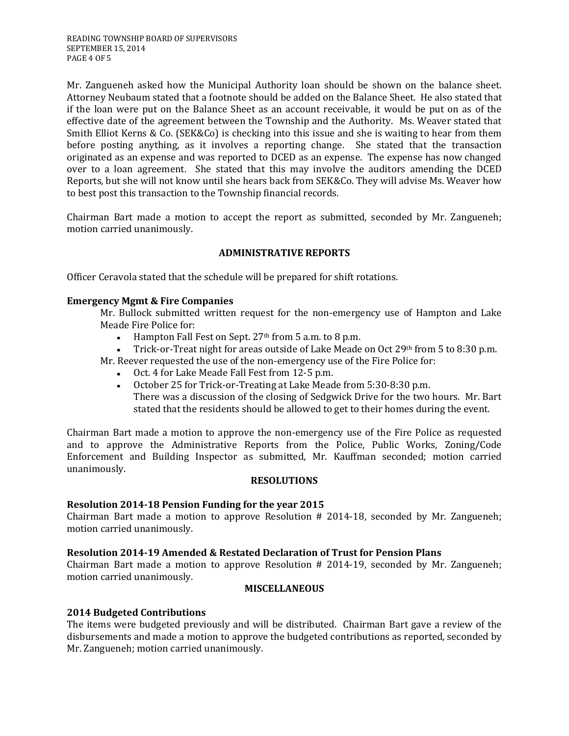Mr. Zangueneh asked how the Municipal Authority loan should be shown on the balance sheet. Attorney Neubaum stated that a footnote should be added on the Balance Sheet. He also stated that if the loan were put on the Balance Sheet as an account receivable, it would be put on as of the effective date of the agreement between the Township and the Authority. Ms. Weaver stated that Smith Elliot Kerns & Co. (SEK&Co) is checking into this issue and she is waiting to hear from them before posting anything, as it involves a reporting change. She stated that the transaction originated as an expense and was reported to DCED as an expense. The expense has now changed over to a loan agreement. She stated that this may involve the auditors amending the DCED Reports, but she will not know until she hears back from SEK&Co. They will advise Ms. Weaver how to best post this transaction to the Township financial records.

Chairman Bart made a motion to accept the report as submitted, seconded by Mr. Zangueneh; motion carried unanimously.

# **ADMINISTRATIVE REPORTS**

Officer Ceravola stated that the schedule will be prepared for shift rotations.

### **Emergency Mgmt & Fire Companies**

Mr. Bullock submitted written request for the non-emergency use of Hampton and Lake Meade Fire Police for:

- $\bullet$  Hampton Fall Fest on Sept. 27<sup>th</sup> from 5 a.m. to 8 p.m.
- Trick-or-Treat night for areas outside of Lake Meade on Oct 29th from 5 to 8:30 p.m.

Mr. Reever requested the use of the non-emergency use of the Fire Police for:

- Oct. 4 for Lake Meade Fall Fest from 12-5 p.m.
- October 25 for Trick-or-Treating at Lake Meade from 5:30-8:30 p.m.  $\bullet$ There was a discussion of the closing of Sedgwick Drive for the two hours. Mr. Bart stated that the residents should be allowed to get to their homes during the event.

Chairman Bart made a motion to approve the non-emergency use of the Fire Police as requested and to approve the Administrative Reports from the Police, Public Works, Zoning/Code Enforcement and Building Inspector as submitted, Mr. Kauffman seconded; motion carried unanimously.

### **RESOLUTIONS**

### **Resolution 2014-18 Pension Funding for the year 2015**

Chairman Bart made a motion to approve Resolution # 2014-18, seconded by Mr. Zangueneh; motion carried unanimously.

## **Resolution 2014-19 Amended & Restated Declaration of Trust for Pension Plans**

Chairman Bart made a motion to approve Resolution # 2014-19, seconded by Mr. Zangueneh; motion carried unanimously.

# **MISCELLANEOUS**

# **2014 Budgeted Contributions**

The items were budgeted previously and will be distributed. Chairman Bart gave a review of the disbursements and made a motion to approve the budgeted contributions as reported, seconded by Mr. Zangueneh; motion carried unanimously.